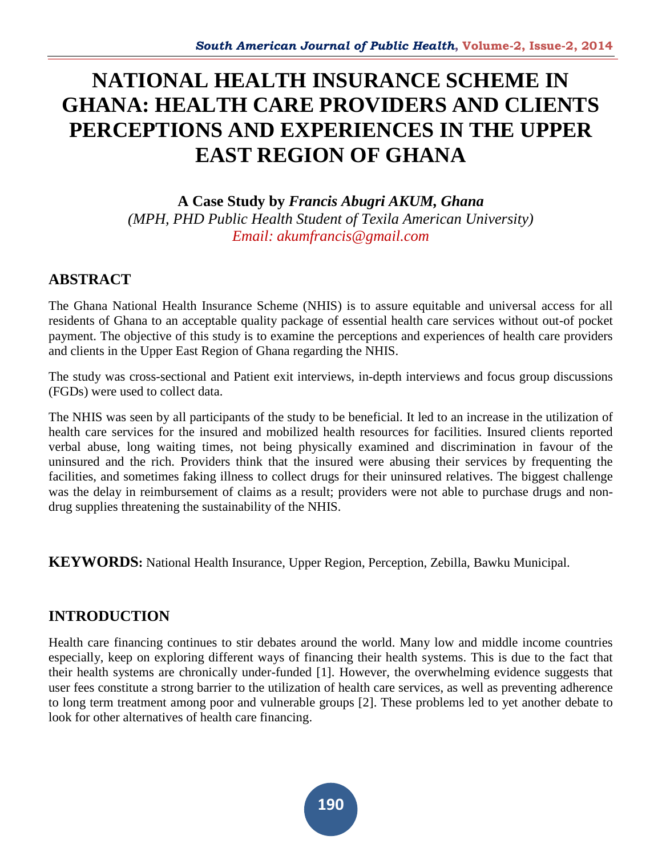# **NATIONAL HEALTH INSURANCE SCHEME IN GHANA: HEALTH CARE PROVIDERS AND CLIENTS PERCEPTIONS AND EXPERIENCES IN THE UPPER EAST REGION OF GHANA**

**A Case Study by** *Francis Abugri AKUM, Ghana (MPH, PHD Public Health Student of Texila American University) Email: akumfrancis@gmail.com*

# **ABSTRACT**

The Ghana National Health Insurance Scheme (NHIS) is to assure equitable and universal access for all residents of Ghana to an acceptable quality package of essential health care services without out-of pocket payment. The objective of this study is to examine the perceptions and experiences of health care providers and clients in the Upper East Region of Ghana regarding the NHIS.

The study was cross-sectional and Patient exit interviews, in-depth interviews and focus group discussions (FGDs) were used to collect data.

The NHIS was seen by all participants of the study to be beneficial. It led to an increase in the utilization of health care services for the insured and mobilized health resources for facilities. Insured clients reported verbal abuse, long waiting times, not being physically examined and discrimination in favour of the uninsured and the rich. Providers think that the insured were abusing their services by frequenting the facilities, and sometimes faking illness to collect drugs for their uninsured relatives. The biggest challenge was the delay in reimbursement of claims as a result; providers were not able to purchase drugs and nondrug supplies threatening the sustainability of the NHIS.

**KEYWORDS:** National Health Insurance, Upper Region, Perception, Zebilla, Bawku Municipal.

# **INTRODUCTION**

Health care financing continues to stir debates around the world. Many low and middle income countries especially, keep on exploring different ways of financing their health systems. This is due to the fact that their health systems are chronically under-funded [1]. However, the overwhelming evidence suggests that user fees constitute a strong barrier to the utilization of health care services, as well as preventing adherence to long term treatment among poor and vulnerable groups [2]. These problems led to yet another debate to look for other alternatives of health care financing.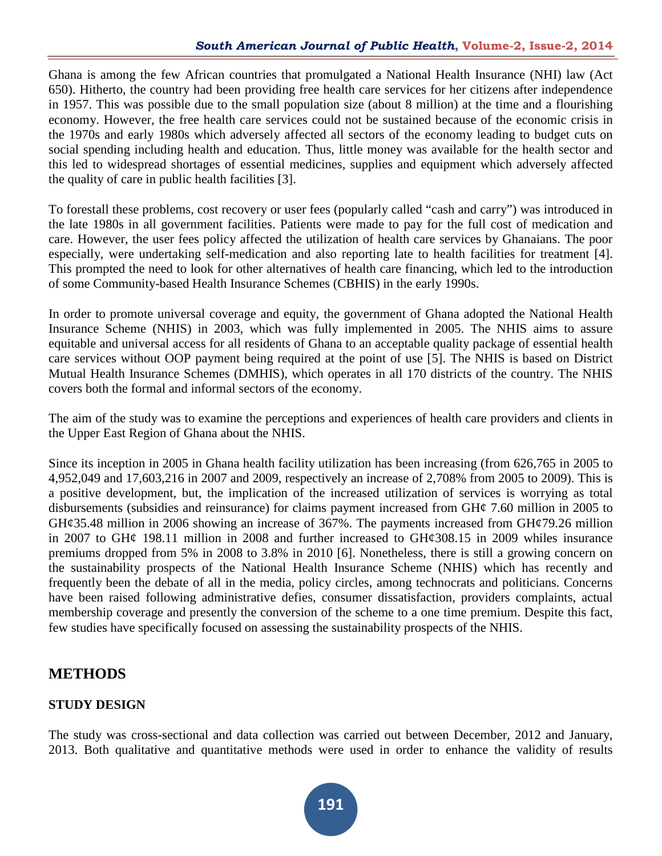Ghana is among the few African countries that promulgated a National Health Insurance (NHI) law (Act 650). Hitherto, the country had been providing free health care services for her citizens after independence in 1957. This was possible due to the small population size (about 8 million) at the time and a flourishing economy. However, the free health care services could not be sustained because of the economic crisis in the 1970s and early 1980s which adversely affected all sectors of the economy leading to budget cuts on social spending including health and education. Thus, little money was available for the health sector and this led to widespread shortages of essential medicines, supplies and equipment which adversely affected the quality of care in public health facilities [3].

To forestall these problems, cost recovery or user fees (popularly called "cash and carry") was introduced in the late 1980s in all government facilities. Patients were made to pay for the full cost of medication and care. However, the user fees policy affected the utilization of health care services by Ghanaians. The poor especially, were undertaking self-medication and also reporting late to health facilities for treatment [4]. This prompted the need to look for other alternatives of health care financing, which led to the introduction of some Community-based Health Insurance Schemes (CBHIS) in the early 1990s.

In order to promote universal coverage and equity, the government of Ghana adopted the National Health Insurance Scheme (NHIS) in 2003, which was fully implemented in 2005. The NHIS aims to assure equitable and universal access for all residents of Ghana to an acceptable quality package of essential health care services without OOP payment being required at the point of use [5]. The NHIS is based on District Mutual Health Insurance Schemes (DMHIS), which operates in all 170 districts of the country. The NHIS covers both the formal and informal sectors of the economy.

The aim of the study was to examine the perceptions and experiences of health care providers and clients in the Upper East Region of Ghana about the NHIS.

Since its inception in 2005 in Ghana health facility utilization has been increasing (from 626,765 in 2005 to 4,952,049 and 17,603,216 in 2007 and 2009, respectively an increase of 2,708% from 2005 to 2009). This is a positive development, but, the implication of the increased utilization of services is worrying as total disbursements (subsidies and reinsurance) for claims payment increased from GH¢ 7.60 million in 2005 to  $GH\mathcal{G}5.48$  million in 2006 showing an increase of 367%. The payments increased from  $GH\mathcal{G}79.26$  million in 2007 to GH¢ 198.11 million in 2008 and further increased to GH¢308.15 in 2009 whiles insurance premiums dropped from 5% in 2008 to 3.8% in 2010 [6]. Nonetheless, there is still a growing concern on the sustainability prospects of the National Health Insurance Scheme (NHIS) which has recently and frequently been the debate of all in the media, policy circles, among technocrats and politicians. Concerns have been raised following administrative defies, consumer dissatisfaction, providers complaints, actual membership coverage and presently the conversion of the scheme to a one time premium. Despite this fact, few studies have specifically focused on assessing the sustainability prospects of the NHIS.

# **METHODS**

# **STUDY DESIGN**

The study was cross-sectional and data collection was carried out between December, 2012 and January, 2013. Both qualitative and quantitative methods were used in order to enhance the validity of results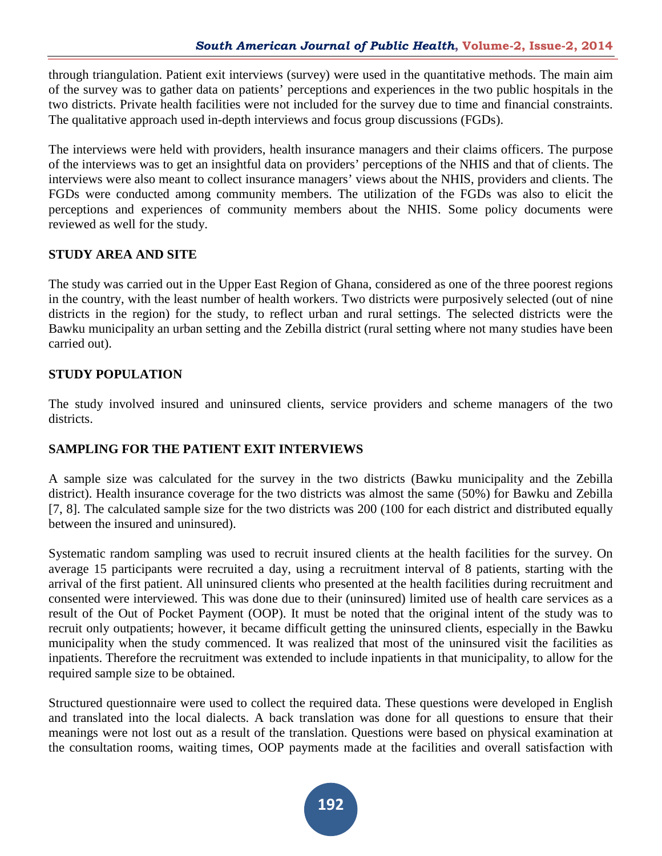through triangulation. Patient exit interviews (survey) were used in the quantitative methods. The main aim of the survey was to gather data on patients' perceptions and experiences in the two public hospitals in the two districts. Private health facilities were not included for the survey due to time and financial constraints. The qualitative approach used in-depth interviews and focus group discussions (FGDs).

The interviews were held with providers, health insurance managers and their claims officers. The purpose of the interviews was to get an insightful data on providers' perceptions of the NHIS and that of clients. The interviews were also meant to collect insurance managers' views about the NHIS, providers and clients. The FGDs were conducted among community members. The utilization of the FGDs was also to elicit the perceptions and experiences of community members about the NHIS. Some policy documents were reviewed as well for the study.

# **STUDY AREA AND SITE**

The study was carried out in the Upper East Region of Ghana, considered as one of the three poorest regions in the country, with the least number of health workers. Two districts were purposively selected (out of nine districts in the region) for the study, to reflect urban and rural settings. The selected districts were the Bawku municipality an urban setting and the Zebilla district (rural setting where not many studies have been carried out).

# **STUDY POPULATION**

The study involved insured and uninsured clients, service providers and scheme managers of the two districts.

# **SAMPLING FOR THE PATIENT EXIT INTERVIEWS**

A sample size was calculated for the survey in the two districts (Bawku municipality and the Zebilla district). Health insurance coverage for the two districts was almost the same (50%) for Bawku and Zebilla [7, 8]. The calculated sample size for the two districts was 200 (100 for each district and distributed equally between the insured and uninsured).

Systematic random sampling was used to recruit insured clients at the health facilities for the survey. On average 15 participants were recruited a day, using a recruitment interval of 8 patients, starting with the arrival of the first patient. All uninsured clients who presented at the health facilities during recruitment and consented were interviewed. This was done due to their (uninsured) limited use of health care services as a result of the Out of Pocket Payment (OOP). It must be noted that the original intent of the study was to recruit only outpatients; however, it became difficult getting the uninsured clients, especially in the Bawku municipality when the study commenced. It was realized that most of the uninsured visit the facilities as inpatients. Therefore the recruitment was extended to include inpatients in that municipality, to allow for the required sample size to be obtained.

Structured questionnaire were used to collect the required data. These questions were developed in English and translated into the local dialects. A back translation was done for all questions to ensure that their meanings were not lost out as a result of the translation. Questions were based on physical examination at the consultation rooms, waiting times, OOP payments made at the facilities and overall satisfaction with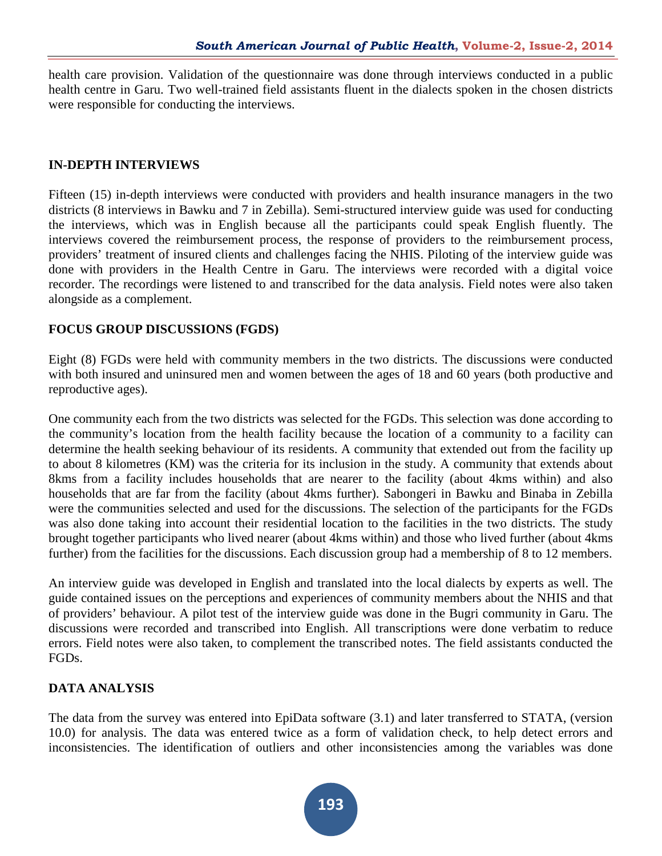health care provision. Validation of the questionnaire was done through interviews conducted in a public health centre in Garu. Two well-trained field assistants fluent in the dialects spoken in the chosen districts were responsible for conducting the interviews.

#### **IN-DEPTH INTERVIEWS**

Fifteen (15) in-depth interviews were conducted with providers and health insurance managers in the two districts (8 interviews in Bawku and 7 in Zebilla). Semi-structured interview guide was used for conducting the interviews, which was in English because all the participants could speak English fluently. The interviews covered the reimbursement process, the response of providers to the reimbursement process, providers' treatment of insured clients and challenges facing the NHIS. Piloting of the interview guide was done with providers in the Health Centre in Garu. The interviews were recorded with a digital voice recorder. The recordings were listened to and transcribed for the data analysis. Field notes were also taken alongside as a complement.

#### **FOCUS GROUP DISCUSSIONS (FGDS)**

Eight (8) FGDs were held with community members in the two districts. The discussions were conducted with both insured and uninsured men and women between the ages of 18 and 60 years (both productive and reproductive ages).

One community each from the two districts was selected for the FGDs. This selection was done according to the community's location from the health facility because the location of a community to a facility can determine the health seeking behaviour of its residents. A community that extended out from the facility up to about 8 kilometres (KM) was the criteria for its inclusion in the study. A community that extends about 8kms from a facility includes households that are nearer to the facility (about 4kms within) and also households that are far from the facility (about 4kms further). Sabongeri in Bawku and Binaba in Zebilla were the communities selected and used for the discussions. The selection of the participants for the FGDs was also done taking into account their residential location to the facilities in the two districts. The study brought together participants who lived nearer (about 4kms within) and those who lived further (about 4kms further) from the facilities for the discussions. Each discussion group had a membership of 8 to 12 members.

An interview guide was developed in English and translated into the local dialects by experts as well. The guide contained issues on the perceptions and experiences of community members about the NHIS and that of providers' behaviour. A pilot test of the interview guide was done in the Bugri community in Garu. The discussions were recorded and transcribed into English. All transcriptions were done verbatim to reduce errors. Field notes were also taken, to complement the transcribed notes. The field assistants conducted the FGDs.

# **DATA ANALYSIS**

The data from the survey was entered into EpiData software (3.1) and later transferred to STATA, (version 10.0) for analysis. The data was entered twice as a form of validation check, to help detect errors and inconsistencies. The identification of outliers and other inconsistencies among the variables was done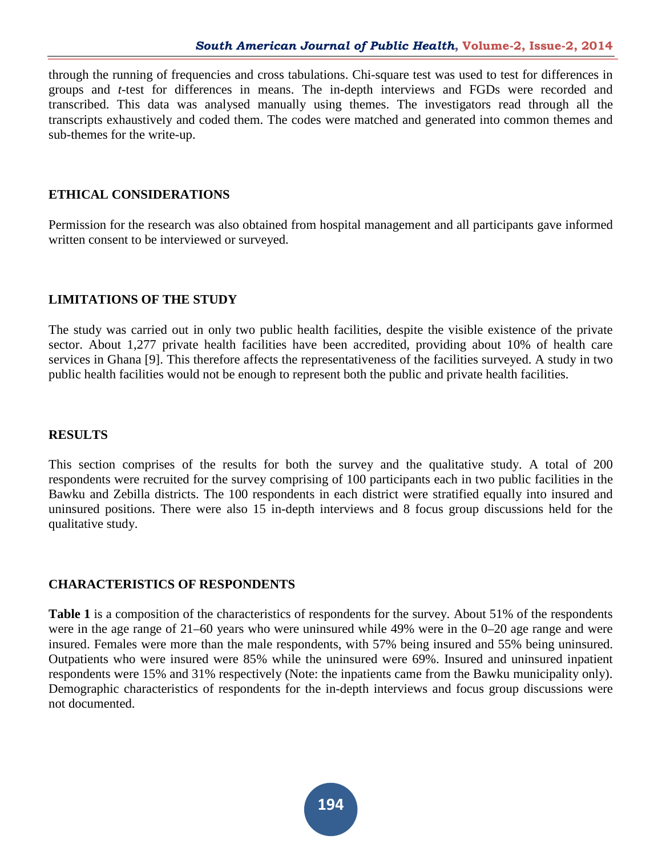through the running of frequencies and cross tabulations. Chi-square test was used to test for differences in groups and *t*-test for differences in means. The in-depth interviews and FGDs were recorded and transcribed. This data was analysed manually using themes. The investigators read through all the transcripts exhaustively and coded them. The codes were matched and generated into common themes and sub-themes for the write-up.

#### **ETHICAL CONSIDERATIONS**

Permission for the research was also obtained from hospital management and all participants gave informed written consent to be interviewed or surveyed.

#### **LIMITATIONS OF THE STUDY**

The study was carried out in only two public health facilities, despite the visible existence of the private sector. About 1,277 private health facilities have been accredited, providing about 10% of health care services in Ghana [9]. This therefore affects the representativeness of the facilities surveyed. A study in two public health facilities would not be enough to represent both the public and private health facilities.

#### **RESULTS**

This section comprises of the results for both the survey and the qualitative study. A total of 200 respondents were recruited for the survey comprising of 100 participants each in two public facilities in the Bawku and Zebilla districts. The 100 respondents in each district were stratified equally into insured and uninsured positions. There were also 15 in-depth interviews and 8 focus group discussions held for the qualitative study.

#### **CHARACTERISTICS OF RESPONDENTS**

**Table [1](http://www.healtheconomicsreview.com/content/2/1/13/table/T1)** is a composition of the characteristics of respondents for the survey. About 51% of the respondents were in the age range of 21–60 years who were uninsured while 49% were in the 0–20 age range and were insured. Females were more than the male respondents, with 57% being insured and 55% being uninsured. Outpatients who were insured were 85% while the uninsured were 69%. Insured and uninsured inpatient respondents were 15% and 31% respectively (Note: the inpatients came from the Bawku municipality only). Demographic characteristics of respondents for the in-depth interviews and focus group discussions were not documented.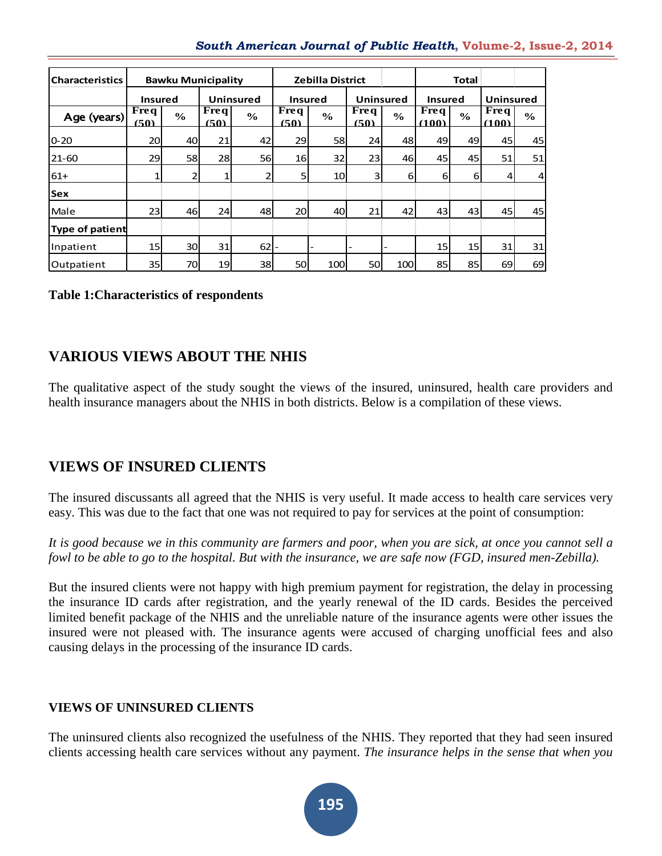#### *South American Journal of Public Health***, Volume-2, Issue-2, 2014**

| <b>Characteristics</b> |                                      | <b>Bawku Municipality</b> |                     |                  |                             | <b>Zebilla District</b> |                                  |               |                                 | <b>Total</b> |                      |               |
|------------------------|--------------------------------------|---------------------------|---------------------|------------------|-----------------------------|-------------------------|----------------------------------|---------------|---------------------------------|--------------|----------------------|---------------|
|                        | <b>Insured</b>                       |                           |                     | <b>Uninsured</b> |                             | <b>Insured</b>          |                                  | Uninsured     | <b>Insured</b>                  |              | <b>Uninsured</b>     |               |
| Age (years)            | <b>Freq</b><br>$\frac{6}{6}$<br>(50) |                           | <b>Freq</b><br>(50) | $\frac{6}{6}$    | Freq<br>$\%$<br><u>(50)</u> |                         | $\overline{\text{Freq}}$<br>(50) | $\frac{6}{6}$ | Freq<br>$\frac{6}{10}$<br>(100) |              | <b>Freq</b><br>(100) | $\frac{6}{6}$ |
| 10-20                  | 20                                   | 40                        | 21                  | 42               | 29                          | 58                      | 24                               | 48            | 49                              | 49           | 45                   | 45            |
| $21 - 60$              | 29                                   | 58                        | 28                  | <b>56</b>        | <b>16</b>                   | 32                      | 23                               | 46            | 45                              | 45           | 51                   | 51            |
| $61+$                  | 1                                    | $\overline{2}$            | 1                   |                  | 5                           | 10 <sup>1</sup>         | $\overline{\mathbf{3}}$          | $6 \mid$      | 6                               | $6 \mid$     | 41                   | 4             |
| <b>Sex</b>             |                                      |                           |                     |                  |                             |                         |                                  |               |                                 |              |                      |               |
| Male                   | 23 I                                 | 46                        | 24                  | 48               | <b>20</b>                   | 40                      | 21                               | 42            | 43                              | 43           | 45                   | 45            |
| <b>Type of patient</b> |                                      |                           |                     |                  |                             |                         |                                  |               |                                 |              |                      |               |
| Inpatient              | 15 <sub>l</sub>                      | 30l                       | 31                  | 62               |                             |                         |                                  |               | 15                              | 15           | 31                   | 31            |
| Outpatient             | 35                                   | 70                        | 19                  | 38               | <b>50</b>                   | 100                     | 50                               | 100           | 85                              | 85           | 69                   | 69            |

#### **Table 1:Characteristics of respondents**

# **VARIOUS VIEWS ABOUT THE NHIS**

The qualitative aspect of the study sought the views of the insured, uninsured, health care providers and health insurance managers about the NHIS in both districts. Below is a compilation of these views.

# **VIEWS OF INSURED CLIENTS**

The insured discussants all agreed that the NHIS is very useful. It made access to health care services very easy. This was due to the fact that one was not required to pay for services at the point of consumption:

*It is good because we in this community are farmers and poor, when you are sick, at once you cannot sell a fowl to be able to go to the hospital. But with the insurance, we are safe now (FGD, insured men-Zebilla).*

But the insured clients were not happy with high premium payment for registration, the delay in processing the insurance ID cards after registration, and the yearly renewal of the ID cards. Besides the perceived limited benefit package of the NHIS and the unreliable nature of the insurance agents were other issues the insured were not pleased with. The insurance agents were accused of charging unofficial fees and also causing delays in the processing of the insurance ID cards.

# **VIEWS OF UNINSURED CLIENTS**

The uninsured clients also recognized the usefulness of the NHIS. They reported that they had seen insured clients accessing health care services without any payment. *The insurance helps in the sense that when you*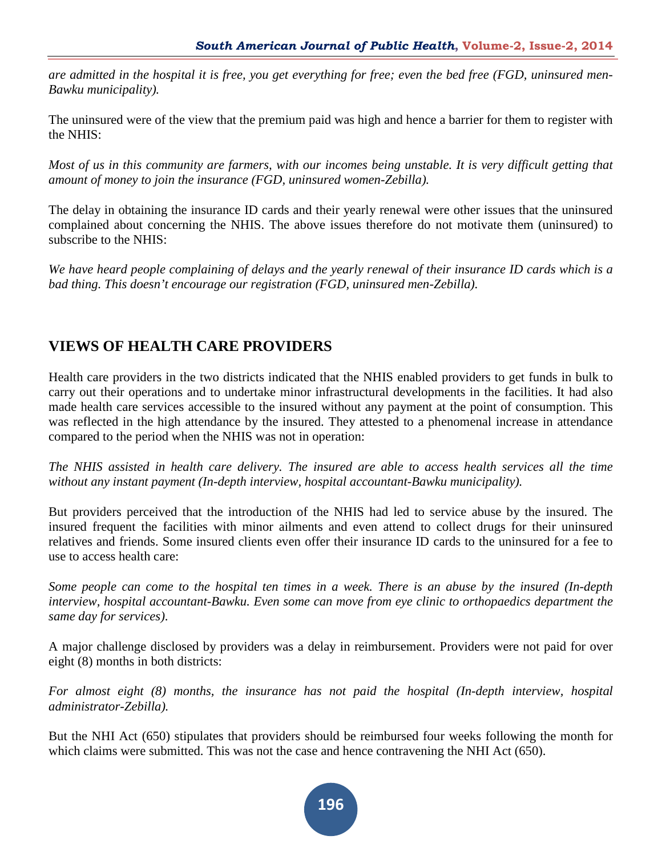*are admitted in the hospital it is free, you get everything for free; even the bed free (FGD, uninsured men-Bawku municipality).*

The uninsured were of the view that the premium paid was high and hence a barrier for them to register with the NHIS:

*Most of us in this community are farmers, with our incomes being unstable. It is very difficult getting that amount of money to join the insurance (FGD, uninsured women-Zebilla).*

The delay in obtaining the insurance ID cards and their yearly renewal were other issues that the uninsured complained about concerning the NHIS. The above issues therefore do not motivate them (uninsured) to subscribe to the NHIS:

*We have heard people complaining of delays and the yearly renewal of their insurance ID cards which is a bad thing. This doesn't encourage our registration (FGD, uninsured men-Zebilla).*

# **VIEWS OF HEALTH CARE PROVIDERS**

Health care providers in the two districts indicated that the NHIS enabled providers to get funds in bulk to carry out their operations and to undertake minor infrastructural developments in the facilities. It had also made health care services accessible to the insured without any payment at the point of consumption. This was reflected in the high attendance by the insured. They attested to a phenomenal increase in attendance compared to the period when the NHIS was not in operation:

*The NHIS assisted in health care delivery. The insured are able to access health services all the time without any instant payment (In-depth interview, hospital accountant-Bawku municipality).*

But providers perceived that the introduction of the NHIS had led to service abuse by the insured. The insured frequent the facilities with minor ailments and even attend to collect drugs for their uninsured relatives and friends. Some insured clients even offer their insurance ID cards to the uninsured for a fee to use to access health care:

*Some people can come to the hospital ten times in a week. There is an abuse by the insured (In-depth interview, hospital accountant-Bawku. Even some can move from eye clinic to orthopaedics department the same day for services)*.

A major challenge disclosed by providers was a delay in reimbursement. Providers were not paid for over eight (8) months in both districts:

*For almost eight (8) months, the insurance has not paid the hospital (In-depth interview, hospital administrator-Zebilla).*

But the NHI Act (650) stipulates that providers should be reimbursed four weeks following the month for which claims were submitted. This was not the case and hence contravening the NHI Act (650).

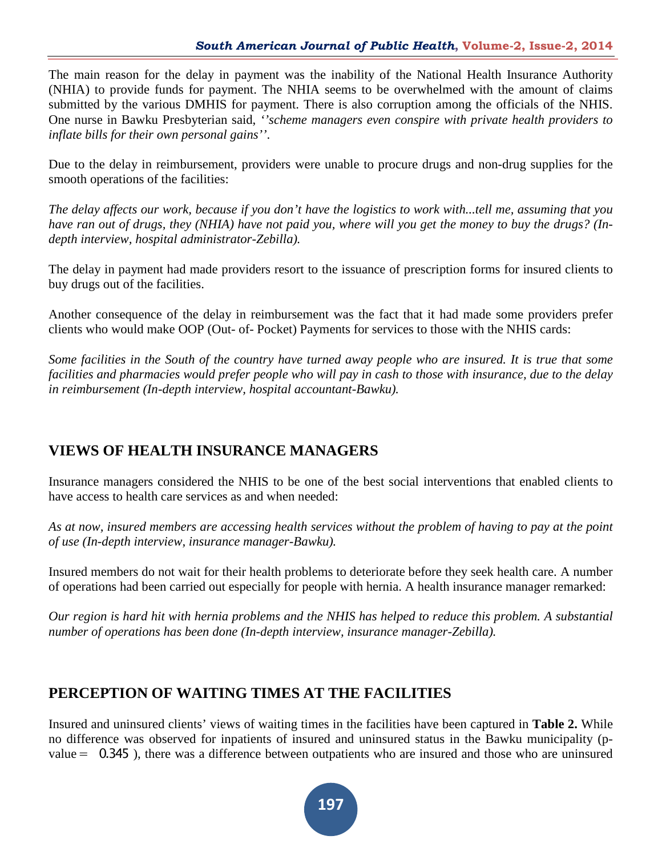The main reason for the delay in payment was the inability of the National Health Insurance Authority (NHIA) to provide funds for payment. The NHIA seems to be overwhelmed with the amount of claims submitted by the various DMHIS for payment. There is also corruption among the officials of the NHIS. One nurse in Bawku Presbyterian said, *''scheme managers even conspire with private health providers to inflate bills for their own personal gains''*.

Due to the delay in reimbursement, providers were unable to procure drugs and non-drug supplies for the smooth operations of the facilities:

*The delay affects our work, because if you don't have the logistics to work with...tell me, assuming that you have ran out of drugs, they (NHIA) have not paid you, where will you get the money to buy the drugs? (Indepth interview, hospital administrator-Zebilla).*

The delay in payment had made providers resort to the issuance of prescription forms for insured clients to buy drugs out of the facilities.

Another consequence of the delay in reimbursement was the fact that it had made some providers prefer clients who would make OOP (Out- of- Pocket) Payments for services to those with the NHIS cards:

*Some facilities in the South of the country have turned away people who are insured. It is true that some facilities and pharmacies would prefer people who will pay in cash to those with insurance, due to the delay in reimbursement (In-depth interview, hospital accountant-Bawku).*

# **VIEWS OF HEALTH INSURANCE MANAGERS**

Insurance managers considered the NHIS to be one of the best social interventions that enabled clients to have access to health care services as and when needed:

*As at now, insured members are accessing health services without the problem of having to pay at the point of use (In-depth interview, insurance manager-Bawku).*

Insured members do not wait for their health problems to deteriorate before they seek health care. A number of operations had been carried out especially for people with hernia. A health insurance manager remarked:

*Our region is hard hit with hernia problems and the NHIS has helped to reduce this problem. A substantial number of operations has been done (In-depth interview, insurance manager-Zebilla).*

# **PERCEPTION OF WAITING TIMES AT THE FACILITIES**

Insured and uninsured clients' views of waiting times in the facilities have been captured in **Table [2.](http://www.healtheconomicsreview.com/content/2/1/13/table/T3)** While no difference was observed for inpatients of insured and uninsured status in the Bawku municipality (pvalue=  0.345 ), there was a difference between outpatients who are insured and those who are uninsured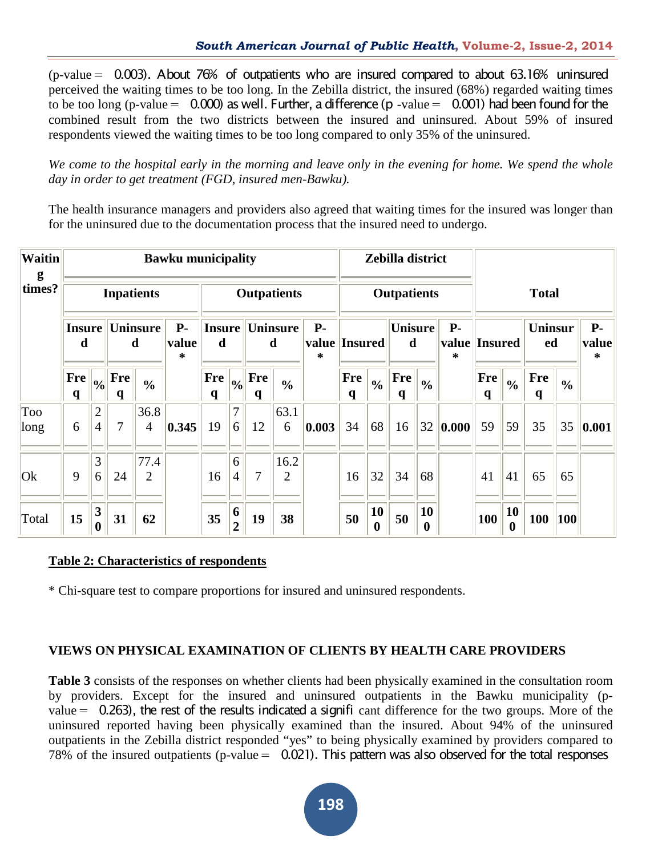$(p-value = 0.003)$ . About 76% of outpatients who are insured compared to about 63.16% uninsured perceived the waiting times to be too long. In the Zebilla district, the insured (68%) regarded waiting times to be too long (p-value =  $0.000$ ) as well. Further, a difference (p -value =  $0.001$ ) had been found for the combined result from the two districts between the insured and uninsured. About 59% of insured respondents viewed the waiting times to be too long compared to only 35% of the uninsured.

*We come to the hospital early in the morning and leave only in the evening for home. We spend the whole day in order to get treatment (FGD, insured men-Bawku).*

The health insurance managers and providers also agreed that waiting times for the insured was longer than for the uninsured due to the documentation process that the insured need to undergo.

| <b>Waitin</b><br>g |                                         |                                  |                 |                        | <b>Bawku municipality</b> |                    |                     |                            |                        |       |                           |                        | Zebilla district              |                        |                                 |                            |                        |                      |               |                     |
|--------------------|-----------------------------------------|----------------------------------|-----------------|------------------------|---------------------------|--------------------|---------------------|----------------------------|------------------------|-------|---------------------------|------------------------|-------------------------------|------------------------|---------------------------------|----------------------------|------------------------|----------------------|---------------|---------------------|
| times?             | <b>Inpatients</b><br><b>Outpatients</b> |                                  |                 |                        |                           |                    |                     |                            |                        |       | <b>Outpatients</b>        |                        |                               |                        |                                 | <b>Total</b>               |                        |                      |               |                     |
|                    | <b>Insure</b><br>d                      |                                  |                 | <b>Uninsure</b><br>d   | $P-$<br>value<br>$\ast$   | <b>Insure</b><br>d |                     |                            | Uninsure<br>d          |       | value Insured             |                        | <b>Unisure</b><br>$\mathbf d$ |                        | <b>P-</b><br>value Insured<br>∗ |                            |                        | <b>Uninsur</b><br>ed |               | $P-$<br>value<br>∗  |
|                    | Fre<br>$\mathbf{q}$                     | $\frac{1}{2}$                    | <b>Fre</b><br>q | $\frac{0}{0}$          |                           | Fre<br>$\mathbf q$ | 0/0                 | <b>Fre</b><br>$\mathbf{q}$ | $\frac{0}{0}$          |       | <b>Fre</b><br>$\mathbf q$ | $\frac{0}{0}$          | Fre<br>$\mathbf{q}$           | $\frac{0}{0}$          |                                 | <b>Fre</b><br>$\mathbf{q}$ | $\frac{0}{0}$          | <b>Fre</b><br>q      | $\frac{0}{0}$ |                     |
| Too<br>long        | 6                                       | $\overline{2}$<br>$\overline{4}$ | 7               | 36.8<br>$\overline{4}$ | 0.345                     | 19                 | 7<br>6              | 12                         | 63.1<br>6              | 0.003 | 34                        | 68                     | 16                            | 32                     | $\vert 0.000 \vert$             | 59                         | 59                     | 35                   | 35            | $\vert 0.001 \vert$ |
| Ok                 | 9                                       | 3<br>6                           | 24              | 77.4<br>$\overline{2}$ |                           | 16                 | 6<br>$\overline{4}$ | 7                          | 16.2<br>$\overline{2}$ |       | 16                        | 32                     | 34                            | 68                     |                                 | 41                         | 41                     | 65                   | 65            |                     |
| Total              | 15                                      | 3<br>$\bf{0}$                    | 31              | 62                     |                           | 35                 | 6<br>$\overline{2}$ | 19                         | 38                     |       | 50                        | 10<br>$\boldsymbol{0}$ | 50                            | 10<br>$\boldsymbol{0}$ |                                 | 100                        | 10<br>$\boldsymbol{0}$ | 100                  | 100           |                     |

# **Table 2: Characteristics of respondents**

\* Chi-square test to compare proportions for insured and uninsured respondents.

# **VIEWS ON PHYSICAL EXAMINATION OF CLIENTS BY HEALTH CARE PROVIDERS**

**Table [3](http://www.healtheconomicsreview.com/content/2/1/13/table/T4)** consists of the responses on whether clients had been physically examined in the consultation room by providers. Except for the insured and uninsured outpatients in the Bawku municipality (pvalue=  0.263), the rest of the results indicated a signifi cant difference for the two groups. More of the uninsured reported having been physically examined than the insured. About 94% of the uninsured outpatients in the Zebilla district responded "yes" to being physically examined by providers compared to  $78\%$  of the insured outpatients (p-value = 0.021). This pattern was also observed for the total responses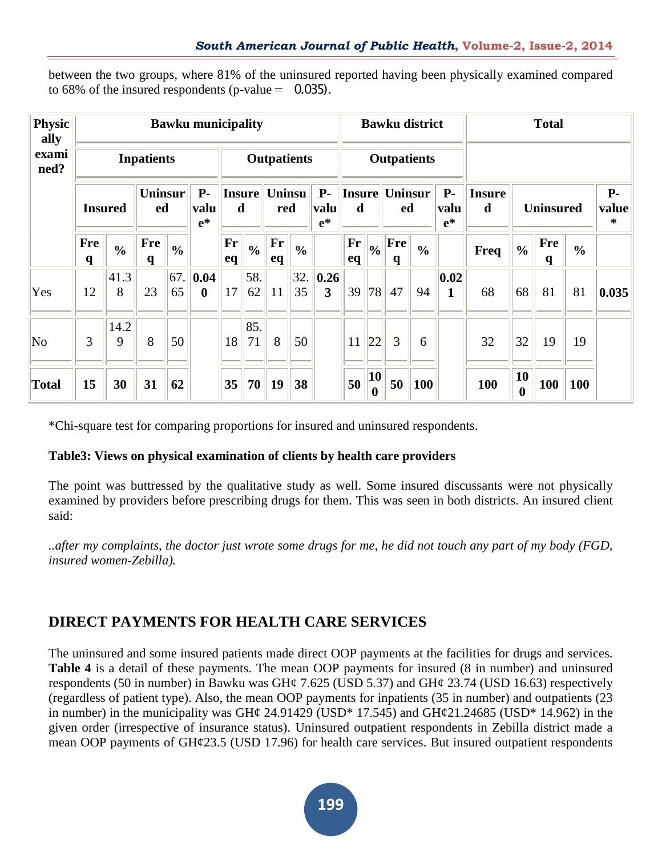between the two groups, where 81% of the uninsured reported having been physically examined compared to 68% of the insured respondents (p-value  $=$  0.035).

| <b>Physic</b><br>ally |                            |               |                            |               | <b>Bawku municipality</b> |                    |                    |                      |               |                         |          |                           | <b>Bawku district</b> |               |                       |                    |                    | <b>Total</b>    |               |                    |
|-----------------------|----------------------------|---------------|----------------------------|---------------|---------------------------|--------------------|--------------------|----------------------|---------------|-------------------------|----------|---------------------------|-----------------------|---------------|-----------------------|--------------------|--------------------|-----------------|---------------|--------------------|
| exami<br>ned?         |                            |               | <b>Inpatients</b>          |               |                           |                    | <b>Outpatients</b> |                      |               |                         |          | <b>Outpatients</b>        |                       |               |                       |                    |                    |                 |               |                    |
|                       | <b>Insured</b>             |               | <b>Uninsur</b><br>ed       |               | $P-$<br>valu<br>$e^*$     | <b>Insure</b><br>d |                    | <b>Uninsu</b><br>red |               | $P-$<br>valu<br>$e^*$   | d        |                           | Insure Uninsur<br>ed  |               | $P-$<br>valu<br>$e^*$ | <b>Insure</b><br>d | <b>Uninsured</b>   |                 |               | $P-$<br>value<br>∗ |
|                       | <b>Fre</b><br>$\mathbf{q}$ | $\frac{0}{0}$ | <b>Fre</b><br>$\mathbf{q}$ | $\frac{0}{0}$ |                           | Fr<br>eq           | $\frac{6}{9}$      | Fr<br>eq             | $\frac{0}{0}$ |                         | Fr<br>eq | $\frac{0}{0}$             | Fre<br>q              | $\frac{0}{0}$ |                       | Freq               | $\frac{0}{0}$      | <b>Fre</b><br>q | $\frac{0}{0}$ |                    |
| Yes                   | 12                         | 41.3<br>8     | 23                         | 65            | 67. 0.04<br>$\bf{0}$      | 17                 | 58.<br>62          | 11                   | 32.<br>35     | $\vert 0.26 \vert$<br>3 | 39       | 78                        | 47                    | 94            | 0.02 <br>$\mathbf{1}$ | 68                 | 68                 | 81              | 81            | 0.035              |
| No                    | 3                          | 14.2<br>9     | 8                          | 50            |                           | 18                 | 85.<br>71          | 8                    | 50            |                         | 11       | 22                        | 3                     | 6             |                       | 32                 | 32                 | 19              | 19            |                    |
| <b>Total</b>          | 15                         | 30            | 31                         | 62            |                           | 35                 | 70                 | 19                   | 38            |                         | 50       | <b>10</b><br>$\mathbf{0}$ | 50                    | 100           |                       | 100                | 10<br>$\mathbf{0}$ | 100             | 100           |                    |

\*Chi-square test for comparing proportions for insured and uninsured respondents.

# **Tabl[e3:](http://www.healtheconomicsreview.com/content/2/1/13/table/T4) Views on physical examination of clients by health care providers**

The point was buttressed by the qualitative study as well. Some insured discussants were not physically examined by providers before prescribing drugs for them. This was seen in both districts. An insured client said:

*..after my complaints, the doctor just wrote some drugs for me, he did not touch any part of my body (FGD, insured women-Zebilla).*

# **DIRECT PAYMENTS FOR HEALTH CARE SERVICES**

The uninsured and some insured patients made direct OOP payments at the facilities for drugs and services. **Table [4](http://www.healtheconomicsreview.com/content/2/1/13/table/T5)** is a detail of these payments. The mean OOP payments for insured (8 in number) and uninsured respondents (50 in number) in Bawku was GH¢ 7.625 (USD 5.37) and GH¢ 23.74 (USD 16.63) respectively (regardless of patient type). Also, the mean OOP payments for inpatients (35 in number) and outpatients (23 in number) in the municipality was GH¢ 24.91429 (USD<sup>\*</sup> 17.545) and GH¢21.24685 (USD<sup>\*</sup> 14.962) in the given order (irrespective of insurance status). Uninsured outpatient respondents in Zebilla district made a mean OOP payments of GH¢23.5 (USD 17.96) for health care services. But insured outpatient respondents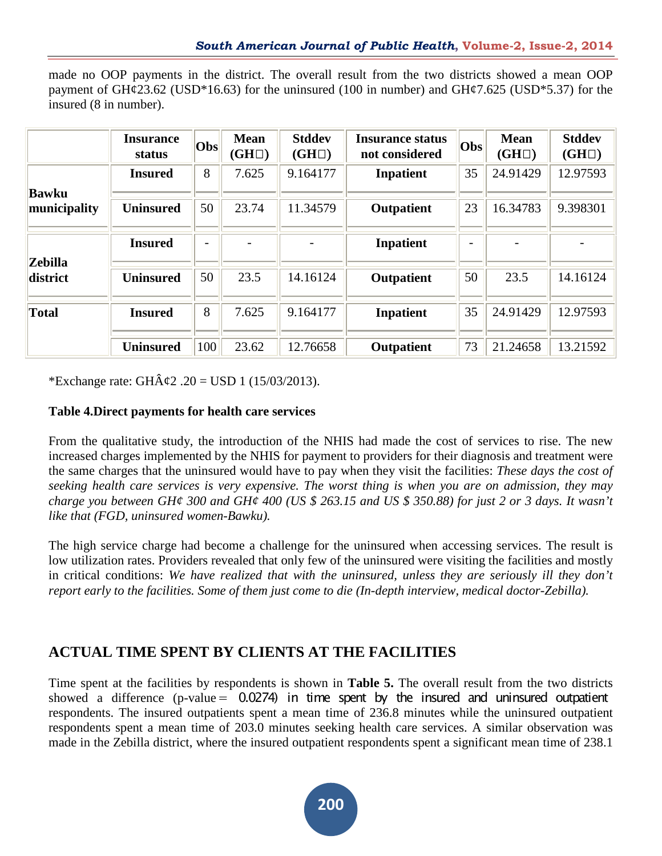|                        | made no OOP payments in the district. The overall result from the two districts showed a mean OOP |  |  |  |  |  |  |  |
|------------------------|---------------------------------------------------------------------------------------------------|--|--|--|--|--|--|--|
|                        | payment of GH¢23.62 (USD*16.63) for the uninsured (100 in number) and GH¢7.625 (USD*5.37) for the |  |  |  |  |  |  |  |
| insured (8 in number). |                                                                                                   |  |  |  |  |  |  |  |

|                | <b>Insurance</b><br>status | Obs                      | <b>Mean</b><br>$(GH\Box)$ | <b>Stddev</b><br>$(GH\Box)$ | <b>Insurance status</b><br>not considered | Obs                      | <b>Mean</b><br>$(GH\Box)$ | <b>Stddev</b><br>$(GH\Box)$ |
|----------------|----------------------------|--------------------------|---------------------------|-----------------------------|-------------------------------------------|--------------------------|---------------------------|-----------------------------|
| <b>Bawku</b>   | <b>Insured</b>             | 8                        | 7.625                     | 9.164177                    | <b>Inpatient</b>                          | 35                       | 24.91429                  | 12.97593                    |
| municipality   | <b>Uninsured</b>           | 50                       | 23.74                     | 11.34579                    | Outpatient                                | 23                       | 16.34783                  | 9.398301                    |
| <b>Zebilla</b> | <b>Insured</b>             | $\overline{\phantom{0}}$ |                           |                             | <b>Inpatient</b>                          | $\overline{\phantom{a}}$ |                           |                             |
| district       | <b>Uninsured</b>           | 50                       | 23.5                      | 14.16124                    | Outpatient                                | 50                       | 23.5                      | 14.16124                    |
| <b>Total</b>   | <b>Insured</b>             | 8                        | 7.625                     | 9.164177                    | <b>Inpatient</b>                          | 35                       | 24.91429                  | 12.97593                    |
|                | <b>Uninsured</b>           | 100                      | 23.62                     | 12.76658                    | Outpatient                                | 73                       | 21.24658                  | 13.21592                    |

\*Exchange rate: GH $\hat{A} \& 2.20 =$  USD 1 (15/03/2013).

#### **[Table 4.D](http://www.healtheconomicsreview.com/content/2/1/13/table/T5)irect payments for health care services**

From the qualitative study, the introduction of the NHIS had made the cost of services to rise. The new increased charges implemented by the NHIS for payment to providers for their diagnosis and treatment were the same charges that the uninsured would have to pay when they visit the facilities: *These days the cost of seeking health care services is very expensive. The worst thing is when you are on admission, they may charge you between GH¢ 300 and GH¢ 400 (US \$ 263.15 and US \$ 350.88) for just 2 or 3 days. It wasn't like that (FGD, uninsured women-Bawku).*

The high service charge had become a challenge for the uninsured when accessing services. The result is low utilization rates. Providers revealed that only few of the uninsured were visiting the facilities and mostly in critical conditions: *We have realized that with the uninsured, unless they are seriously ill they don't report early to the facilities. Some of them just come to die (In-depth interview, medical doctor-Zebilla).*

# **ACTUAL TIME SPENT BY CLIENTS AT THE FACILITIES**

Time spent at the facilities by respondents is shown in **Table [5.](http://www.healtheconomicsreview.com/content/2/1/13/table/T6)** The overall result from the two districts showed a difference (p-value  $= 0.0274$ ) in time spent by the insured and uninsured outpatient respondents. The insured outpatients spent a mean time of 236.8 minutes while the uninsured outpatient respondents spent a mean time of 203.0 minutes seeking health care services. A similar observation was made in the Zebilla district, where the insured outpatient respondents spent a significant mean time of 238.1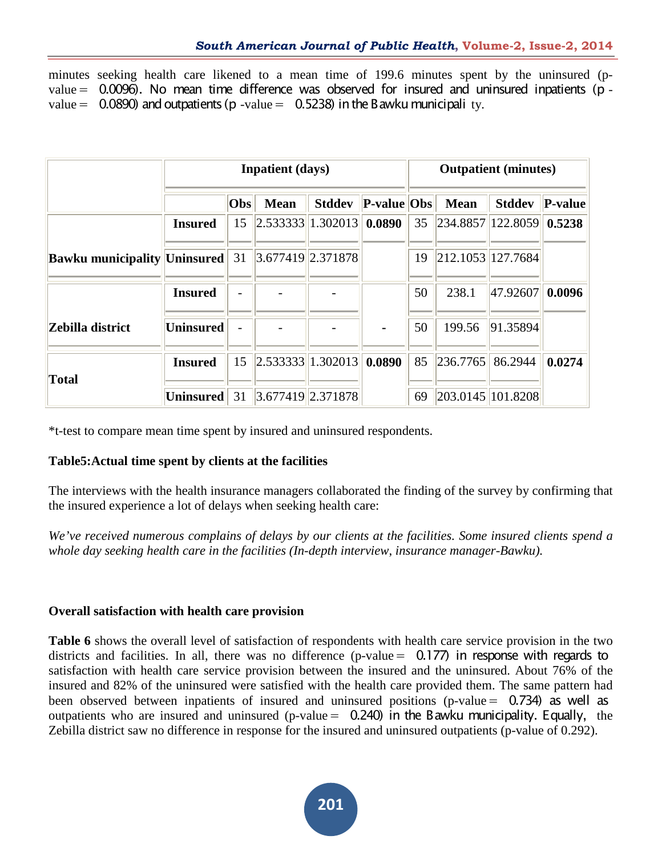minutes seeking health care likened to a mean time of 199.6 minutes spent by the uninsured (p $value = 0.0096$ ). No mean time difference was observed for insured and uninsured inpatients (p value =  $0.0890$ ) and outpatients (p -value =  $0.5238$ ) in the Bawku municipali ty.

|                               |                  |     | <b>Inpatient</b> (days)    |               |                | <b>Outpatient</b> (minutes) |                                 |               |         |  |  |  |
|-------------------------------|------------------|-----|----------------------------|---------------|----------------|-----------------------------|---------------------------------|---------------|---------|--|--|--|
|                               |                  | Obs | <b>Mean</b>                | <b>Stddev</b> | P-value Obs    |                             | <b>Mean</b>                     | <b>Stddev</b> | P-value |  |  |  |
|                               | <b>Insured</b>   | 15  | 2.533333  1.302013  0.0890 |               |                | 35                          | $  234.8857  122.8059  $ 0.5238 |               |         |  |  |  |
| Bawku municipality  Uninsured |                  | 31  | 3.677419 2.371878          |               |                | 19                          | 212.1053 127.7684               |               |         |  |  |  |
|                               | <b>Insured</b>   |     |                            |               |                | 50                          | 238.1                           | 47.92607      | 0.0096  |  |  |  |
| Zebilla district              | <b>Uninsured</b> |     |                            |               | $\blacksquare$ | 50                          | 199.56                          | 91.35894      |         |  |  |  |
| <b>Total</b>                  | <b>Insured</b>   | 15  | $\ 2.533333\ 1.302013\ $   |               | 0.0890         | 85                          | 236.7765                        | 86.2944       | 0.0274  |  |  |  |
|                               | <b>Uninsured</b> | 31  | 3.677419 2.371878          |               |                | 69                          | 203.0145   101.8208             |               |         |  |  |  |

\*t-test to compare mean time spent by insured and uninsured respondents.

# **Table5:Actual time spent by clients at the facilities**

The interviews with the health insurance managers collaborated the finding of the survey by confirming that the insured experience a lot of delays when seeking health care:

*We've received numerous complains of delays by our clients at the facilities. Some insured clients spend a whole day seeking health care in the facilities (In-depth interview*, *insurance manager-Bawku).*

# **Overall satisfaction with health care provision**

**Table [6](http://www.healtheconomicsreview.com/content/2/1/13/table/T7)** shows the overall level of satisfaction of respondents with health care service provision in the two districts and facilities. In all, there was no difference (p-value  $= 0.177$ ) in response with regards to satisfaction with health care service provision between the insured and the uninsured. About 76% of the insured and 82% of the uninsured were satisfied with the health care provided them. The same pattern had been observed between inpatients of insured and uninsured positions (p-value = 0.734) as well as outpatients who are insured and uninsured (p-value  $= 0.240$ ) in the Bawku municipality. Equally, the Zebilla district saw no difference in response for the insured and uninsured outpatients (p-value of 0.292).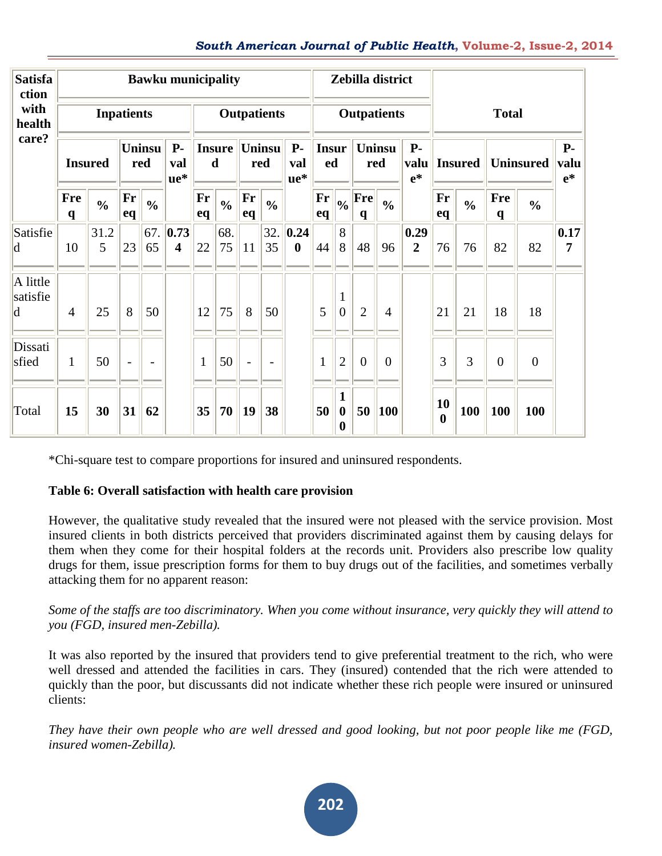#### *South American Journal of Public Health***, Volume-2, Issue-2, 2014**

| <b>Satisfa</b><br>ction    |                            |                   |                          |                          | <b>Bawku municipality</b>            |                              |               |                          |                          |                           |                     | Zebilla district                          |                      |                |                             |                        |               |                            |                  |                             |
|----------------------------|----------------------------|-------------------|--------------------------|--------------------------|--------------------------------------|------------------------------|---------------|--------------------------|--------------------------|---------------------------|---------------------|-------------------------------------------|----------------------|----------------|-----------------------------|------------------------|---------------|----------------------------|------------------|-----------------------------|
| with<br>health             |                            | <b>Inpatients</b> |                          |                          |                                      |                              |               | <b>Outpatients</b>       |                          |                           |                     |                                           | <b>Outpatients</b>   |                |                             |                        |               | <b>Total</b>               |                  |                             |
| care?                      | <b>Insured</b>             |                   | <b>Uninsu</b><br>red     |                          | <b>P</b> -<br>val<br>$ue*$           | <b>Insure</b><br>$\mathbf d$ |               | Uninsu<br>red            |                          | $P-$<br>val<br>ue*        | <b>Insur</b><br>ed  |                                           | <b>Uninsu</b><br>red |                | <b>P</b> -<br>valu<br>$e^*$ | <b>Insured</b>         |               | <b>Uninsured</b>           |                  | <b>P</b> -<br>valu<br>$e^*$ |
|                            | <b>Fre</b><br>$\mathbf{q}$ | $\frac{0}{0}$     | Fr<br>eq                 | $\frac{0}{0}$            |                                      | Fr<br>eq                     | $\frac{0}{0}$ | Fr<br>eq                 | $\frac{0}{0}$            |                           | $\mathbf{Fr}$<br>eq | $\vert_{\textbf{0}_{/0}}$                 | Fre<br>$\mathbf q$   | $\frac{0}{0}$  |                             | Fr<br>eq               | $\frac{0}{0}$ | <b>Fre</b><br>$\mathbf{q}$ | $\frac{0}{0}$    |                             |
| Satisfie<br> d             | 10                         | 31.2<br>5         | 23                       | 65                       | 67.  0.73<br>$\overline{\mathbf{4}}$ | 22                           | 68.<br>75     | 11                       | 32.<br>35                | 0.24 <br>$\boldsymbol{0}$ | 44                  | 8<br>8                                    | 48                   | 96             | 0.29<br>$\overline{2}$      | 76                     | 76            | 82                         | 82               | 0.17<br>7                   |
| A little<br>satisfie<br> d | $\overline{4}$             | 25                | 8                        | 50                       |                                      | 12                           | 75            | 8                        | 50                       |                           | 5                   | $\overline{0}$                            | $\overline{2}$       | $\overline{4}$ |                             | 21                     | 21            | 18                         | 18               |                             |
| Dissati<br>sfied           | $\mathbf{1}$               | 50                | $\overline{\phantom{a}}$ | $\overline{\phantom{a}}$ |                                      | $\mathbf{1}$                 | 50            | $\overline{\phantom{0}}$ | $\overline{\phantom{a}}$ |                           | $\mathbf{1}$        | $\overline{2}$                            | $\overline{0}$       | $\overline{0}$ |                             | 3                      | 3             | $\overline{0}$             | $\boldsymbol{0}$ |                             |
| Total                      | 15                         | 30                | 31                       | 62                       |                                      | 35                           | 70            | 19                       | 38                       |                           | 50                  | 1<br>$\boldsymbol{0}$<br>$\boldsymbol{0}$ | 50                   | 100            |                             | 10<br>$\boldsymbol{0}$ | 100           | 100                        | 100              |                             |

\*Chi-square test to compare proportions for insured and uninsured respondents.

# **[Table](http://www.healtheconomicsreview.com/content/2/1/13/table/T7) 6: Overall satisfaction with health care provision**

However, the qualitative study revealed that the insured were not pleased with the service provision. Most insured clients in both districts perceived that providers discriminated against them by causing delays for them when they come for their hospital folders at the records unit. Providers also prescribe low quality drugs for them, issue prescription forms for them to buy drugs out of the facilities, and sometimes verbally attacking them for no apparent reason:

#### *Some of the staffs are too discriminatory. When you come without insurance, very quickly they will attend to you (FGD, insured men-Zebilla).*

It was also reported by the insured that providers tend to give preferential treatment to the rich, who were well dressed and attended the facilities in cars. They (insured) contended that the rich were attended to quickly than the poor, but discussants did not indicate whether these rich people were insured or uninsured clients:

*They have their own people who are well dressed and good looking, but not poor people like me (FGD, insured women-Zebilla).*

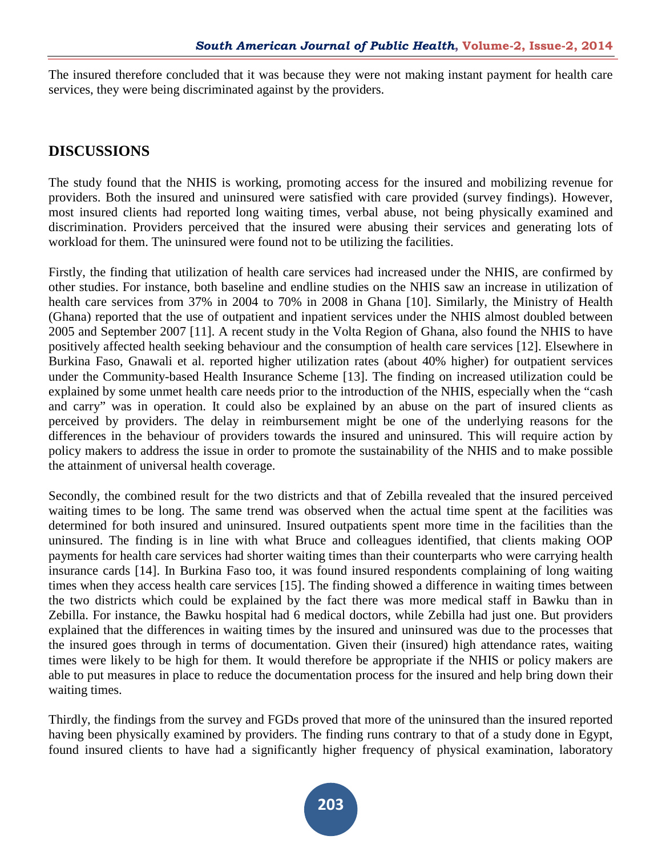The insured therefore concluded that it was because they were not making instant payment for health care services, they were being discriminated against by the providers.

# **DISCUSSIONS**

The study found that the NHIS is working, promoting access for the insured and mobilizing revenue for providers. Both the insured and uninsured were satisfied with care provided (survey findings). However, most insured clients had reported long waiting times, verbal abuse, not being physically examined and discrimination. Providers perceived that the insured were abusing their services and generating lots of workload for them. The uninsured were found not to be utilizing the facilities.

Firstly, the finding that utilization of health care services had increased under the NHIS, are confirmed by other studies. For instance, both baseline and endline studies on the NHIS saw an increase in utilization of health care services from 37% in 2004 to 70% in 2008 in Ghana [10]. Similarly, the Ministry of Health (Ghana) reported that the use of outpatient and inpatient services under the NHIS almost doubled between 2005 and September 2007 [11]. A recent study in the Volta Region of Ghana, also found the NHIS to have positively affected health seeking behaviour and the consumption of health care services [12]. Elsewhere in Burkina Faso, Gnawali et al. reported higher utilization rates (about 40% higher) for outpatient services under the Community-based Health Insurance Scheme [13]. The finding on increased utilization could be explained by some unmet health care needs prior to the introduction of the NHIS, especially when the "cash and carry" was in operation. It could also be explained by an abuse on the part of insured clients as perceived by providers. The delay in reimbursement might be one of the underlying reasons for the differences in the behaviour of providers towards the insured and uninsured. This will require action by policy makers to address the issue in order to promote the sustainability of the NHIS and to make possible the attainment of universal health coverage.

Secondly, the combined result for the two districts and that of Zebilla revealed that the insured perceived waiting times to be long. The same trend was observed when the actual time spent at the facilities was determined for both insured and uninsured. Insured outpatients spent more time in the facilities than the uninsured. The finding is in line with what Bruce and colleagues identified, that clients making OOP payments for health care services had shorter waiting times than their counterparts who were carrying health insurance cards [14]. In Burkina Faso too, it was found insured respondents complaining of long waiting times when they access health care services [15]. The finding showed a difference in waiting times between the two districts which could be explained by the fact there was more medical staff in Bawku than in Zebilla. For instance, the Bawku hospital had 6 medical doctors, while Zebilla had just one. But providers explained that the differences in waiting times by the insured and uninsured was due to the processes that the insured goes through in terms of documentation. Given their (insured) high attendance rates, waiting times were likely to be high for them. It would therefore be appropriate if the NHIS or policy makers are able to put measures in place to reduce the documentation process for the insured and help bring down their waiting times.

Thirdly, the findings from the survey and FGDs proved that more of the uninsured than the insured reported having been physically examined by providers. The finding runs contrary to that of a study done in Egypt, found insured clients to have had a significantly higher frequency of physical examination, laboratory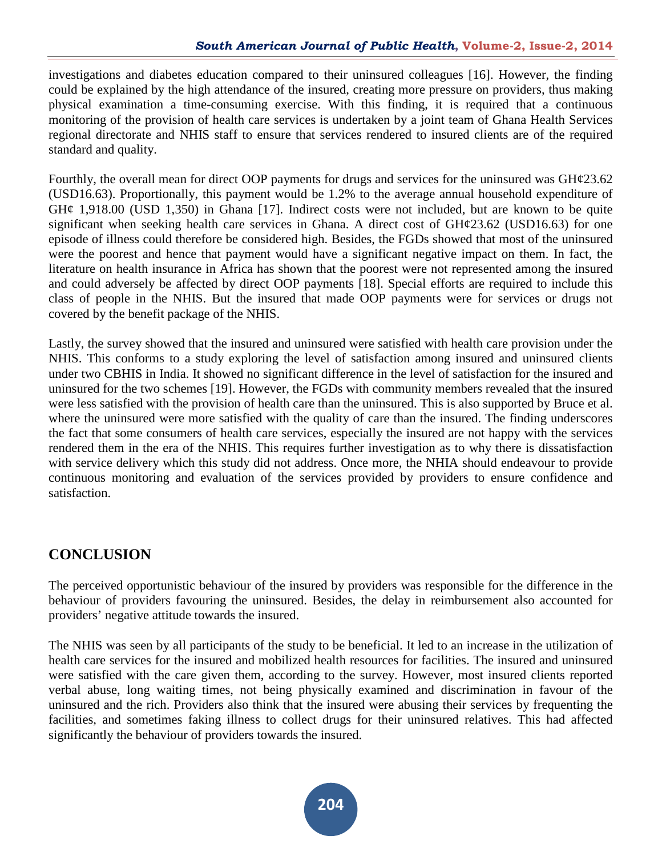investigations and diabetes education compared to their uninsured colleagues [16]. However, the finding could be explained by the high attendance of the insured, creating more pressure on providers, thus making physical examination a time-consuming exercise. With this finding, it is required that a continuous monitoring of the provision of health care services is undertaken by a joint team of Ghana Health Services regional directorate and NHIS staff to ensure that services rendered to insured clients are of the required standard and quality.

Fourthly, the overall mean for direct OOP payments for drugs and services for the uninsured was GH¢23.62 (USD16.63). Proportionally, this payment would be 1.2% to the average annual household expenditure of  $GH¢$  1,918.00 (USD 1,350) in Ghana [17]. Indirect costs were not included, but are known to be quite significant when seeking health care services in Ghana. A direct cost of  $GHq23.62$  (USD16.63) for one episode of illness could therefore be considered high. Besides, the FGDs showed that most of the uninsured were the poorest and hence that payment would have a significant negative impact on them. In fact, the literature on health insurance in Africa has shown that the poorest were not represented among the insured and could adversely be affected by direct OOP payments [18]. Special efforts are required to include this class of people in the NHIS. But the insured that made OOP payments were for services or drugs not covered by the benefit package of the NHIS.

Lastly, the survey showed that the insured and uninsured were satisfied with health care provision under the NHIS. This conforms to a study exploring the level of satisfaction among insured and uninsured clients under two CBHIS in India. It showed no significant difference in the level of satisfaction for the insured and uninsured for the two schemes [19]. However, the FGDs with community members revealed that the insured were less satisfied with the provision of health care than the uninsured. This is also supported by Bruce et al. where the uninsured were more satisfied with the quality of care than the insured. The finding underscores the fact that some consumers of health care services, especially the insured are not happy with the services rendered them in the era of the NHIS. This requires further investigation as to why there is dissatisfaction with service delivery which this study did not address. Once more, the NHIA should endeavour to provide continuous monitoring and evaluation of the services provided by providers to ensure confidence and satisfaction.

# **CONCLUSION**

The perceived opportunistic behaviour of the insured by providers was responsible for the difference in the behaviour of providers favouring the uninsured. Besides, the delay in reimbursement also accounted for providers' negative attitude towards the insured.

The NHIS was seen by all participants of the study to be beneficial. It led to an increase in the utilization of health care services for the insured and mobilized health resources for facilities. The insured and uninsured were satisfied with the care given them, according to the survey. However, most insured clients reported verbal abuse, long waiting times, not being physically examined and discrimination in favour of the uninsured and the rich. Providers also think that the insured were abusing their services by frequenting the facilities, and sometimes faking illness to collect drugs for their uninsured relatives. This had affected significantly the behaviour of providers towards the insured.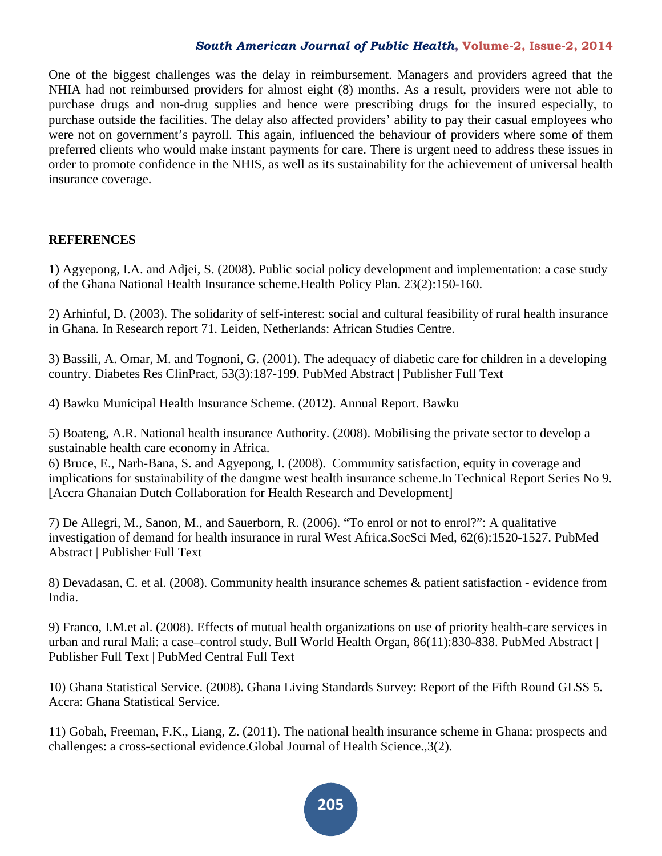One of the biggest challenges was the delay in reimbursement. Managers and providers agreed that the NHIA had not reimbursed providers for almost eight (8) months. As a result, providers were not able to purchase drugs and non-drug supplies and hence were prescribing drugs for the insured especially, to purchase outside the facilities. The delay also affected providers' ability to pay their casual employees who were not on government's payroll. This again, influenced the behaviour of providers where some of them preferred clients who would make instant payments for care. There is urgent need to address these issues in order to promote confidence in the NHIS, as well as its sustainability for the achievement of universal health insurance coverage.

# **REFERENCES**

1) Agyepong, I.A. and Adjei, S. (2008). Public social policy development and implementation: a case study of the Ghana National Health Insurance scheme.Health Policy Plan. 23(2):150-160.

2) Arhinful, D. (2003). The solidarity of self-interest: social and cultural feasibility of rural health insurance in Ghana. In Research report 71. Leiden, Netherlands: African Studies Centre.

3) Bassili, A. Omar, M. and Tognoni, G. (2001). The adequacy of diabetic care for children in a developing country. Diabetes Res ClinPract, 53(3):187-199. PubMed Abstract | Publisher Full Text

4) Bawku Municipal Health Insurance Scheme. (2012). Annual Report. Bawku

5) Boateng, A.R. National health insurance Authority. (2008). Mobilising the private sector to develop a sustainable health care economy in Africa.

6) Bruce, E., Narh-Bana, S. and Agyepong, I. (2008). Community satisfaction, equity in coverage and implications for sustainability of the dangme west health insurance scheme.In Technical Report Series No 9. [Accra Ghanaian Dutch Collaboration for Health Research and Development]

7) De Allegri, M., Sanon, M., and Sauerborn, R. (2006). "To enrol or not to enrol?": A qualitative investigation of demand for health insurance in rural West Africa.SocSci Med, 62(6):1520-1527. PubMed Abstract | Publisher Full Text

8) Devadasan, C. et al. (2008). Community health insurance schemes & patient satisfaction - evidence from India.

9) Franco, I.M.et al. (2008). Effects of mutual health organizations on use of priority health-care services in urban and rural Mali: a case–control study. Bull World Health Organ, 86(11):830-838. PubMed Abstract | Publisher Full Text | PubMed Central Full Text

10) Ghana Statistical Service. (2008). Ghana Living Standards Survey: Report of the Fifth Round GLSS 5. Accra: Ghana Statistical Service.

11) Gobah, Freeman, F.K., Liang, Z. (2011). The national health insurance scheme in Ghana: prospects and challenges: a cross-sectional evidence.Global Journal of Health Science.,3(2).